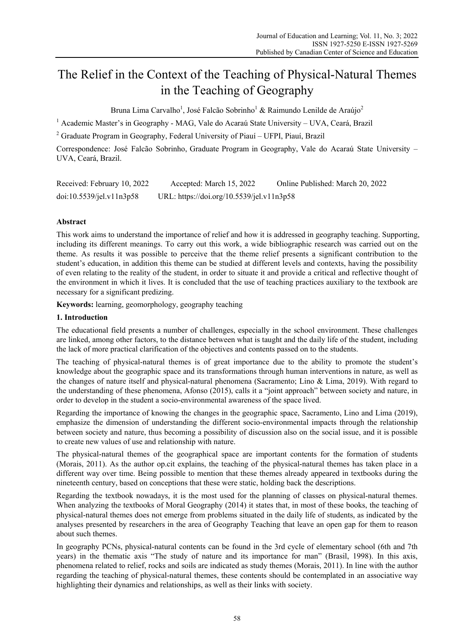# The Relief in the Context of the Teaching of Physical-Natural Themes in the Teaching of Geography

Bruna Lima Carvalho<sup>1</sup>, José Falcão Sobrinho<sup>1</sup> & Raimundo Lenilde de Araújo<sup>2</sup>

<sup>1</sup> Academic Master's in Geography - MAG, Vale do Acaraú State University - UVA, Ceará, Brazil

<sup>2</sup> Graduate Program in Geography, Federal University of Piauí – UFPI, Piauí, Brazil

Correspondence: José Falcão Sobrinho, Graduate Program in Geography, Vale do Acaraú State University – UVA, Ceará, Brazil.

| Received: February 10, 2022 | Accepted: March 15, 2022                  | Online Published: March 20, 2022 |
|-----------------------------|-------------------------------------------|----------------------------------|
| doi:10.5539/je1.v11n3p58    | URL: https://doi.org/10.5539/jel.v11n3p58 |                                  |

## **Abstract**

This work aims to understand the importance of relief and how it is addressed in geography teaching. Supporting, including its different meanings. To carry out this work, a wide bibliographic research was carried out on the theme. As results it was possible to perceive that the theme relief presents a significant contribution to the student's education, in addition this theme can be studied at different levels and contexts, having the possibility of even relating to the reality of the student, in order to situate it and provide a critical and reflective thought of the environment in which it lives. It is concluded that the use of teaching practices auxiliary to the textbook are necessary for a significant predizing.

**Keywords:** learning, geomorphology, geography teaching

#### **1. Introduction**

The educational field presents a number of challenges, especially in the school environment. These challenges are linked, among other factors, to the distance between what is taught and the daily life of the student, including the lack of more practical clarification of the objectives and contents passed on to the students.

The teaching of physical-natural themes is of great importance due to the ability to promote the student's knowledge about the geographic space and its transformations through human interventions in nature, as well as the changes of nature itself and physical-natural phenomena (Sacramento; Lino & Lima, 2019). With regard to the understanding of these phenomena, Afonso (2015), calls it a "joint approach" between society and nature, in order to develop in the student a socio-environmental awareness of the space lived.

Regarding the importance of knowing the changes in the geographic space, Sacramento, Lino and Lima (2019), emphasize the dimension of understanding the different socio-environmental impacts through the relationship between society and nature, thus becoming a possibility of discussion also on the social issue, and it is possible to create new values of use and relationship with nature.

The physical-natural themes of the geographical space are important contents for the formation of students (Morais, 2011). As the author op.cit explains, the teaching of the physical-natural themes has taken place in a different way over time. Being possible to mention that these themes already appeared in textbooks during the nineteenth century, based on conceptions that these were static, holding back the descriptions.

Regarding the textbook nowadays, it is the most used for the planning of classes on physical-natural themes. When analyzing the textbooks of Moral Geography (2014) it states that, in most of these books, the teaching of physical-natural themes does not emerge from problems situated in the daily life of students, as indicated by the analyses presented by researchers in the area of Geography Teaching that leave an open gap for them to reason about such themes.

In geography PCNs, physical-natural contents can be found in the 3rd cycle of elementary school (6th and 7th years) in the thematic axis "The study of nature and its importance for man" (Brasil, 1998). In this axis, phenomena related to relief, rocks and soils are indicated as study themes (Morais, 2011). In line with the author regarding the teaching of physical-natural themes, these contents should be contemplated in an associative way highlighting their dynamics and relationships, as well as their links with society.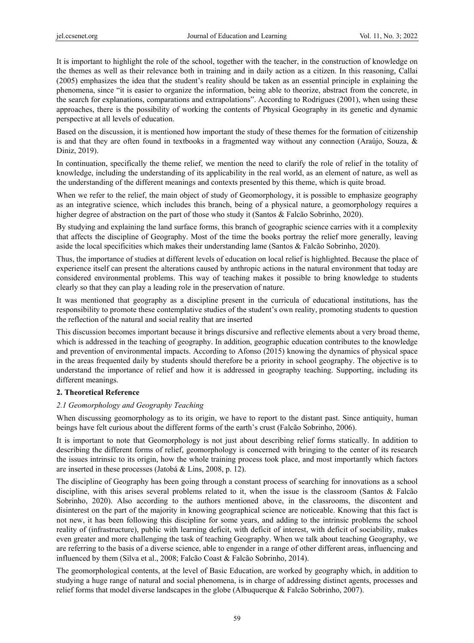It is important to highlight the role of the school, together with the teacher, in the construction of knowledge on the themes as well as their relevance both in training and in daily action as a citizen. In this reasoning, Callai (2005) emphasizes the idea that the student's reality should be taken as an essential principle in explaining the phenomena, since "it is easier to organize the information, being able to theorize, abstract from the concrete, in the search for explanations, comparations and extrapolations". According to Rodrigues (2001), when using these approaches, there is the possibility of working the contents of Physical Geography in its genetic and dynamic perspective at all levels of education.

Based on the discussion, it is mentioned how important the study of these themes for the formation of citizenship is and that they are often found in textbooks in a fragmented way without any connection (Araújo, Souza, & Diniz, 2019).

In continuation, specifically the theme relief, we mention the need to clarify the role of relief in the totality of knowledge, including the understanding of its applicability in the real world, as an element of nature, as well as the understanding of the different meanings and contexts presented by this theme, which is quite broad.

When we refer to the relief, the main object of study of Geomorphology, it is possible to emphasize geography as an integrative science, which includes this branch, being of a physical nature, a geomorphology requires a higher degree of abstraction on the part of those who study it (Santos & Falcão Sobrinho, 2020).

By studying and explaining the land surface forms, this branch of geographic science carries with it a complexity that affects the discipline of Geography. Most of the time the books portray the relief more generally, leaving aside the local specificities which makes their understanding lame (Santos & Falcão Sobrinho, 2020).

Thus, the importance of studies at different levels of education on local relief is highlighted. Because the place of experience itself can present the alterations caused by anthropic actions in the natural environment that today are considered environmental problems. This way of teaching makes it possible to bring knowledge to students clearly so that they can play a leading role in the preservation of nature.

It was mentioned that geography as a discipline present in the curricula of educational institutions, has the responsibility to promote these contemplative studies of the student's own reality, promoting students to question the reflection of the natural and social reality that are inserted

This discussion becomes important because it brings discursive and reflective elements about a very broad theme, which is addressed in the teaching of geography. In addition, geographic education contributes to the knowledge and prevention of environmental impacts. According to Afonso (2015) knowing the dynamics of physical space in the areas frequented daily by students should therefore be a priority in school geography. The objective is to understand the importance of relief and how it is addressed in geography teaching. Supporting, including its different meanings.

## **2. Theoretical Reference**

## *2.1 Geomorphology and Geography Teaching*

When discussing geomorphology as to its origin, we have to report to the distant past. Since antiquity, human beings have felt curious about the different forms of the earth's crust (Falcão Sobrinho, 2006).

It is important to note that Geomorphology is not just about describing relief forms statically. In addition to describing the different forms of relief, geomorphology is concerned with bringing to the center of its research the issues intrinsic to its origin, how the whole training process took place, and most importantly which factors are inserted in these processes (Jatobá & Lins, 2008, p. 12).

The discipline of Geography has been going through a constant process of searching for innovations as a school discipline, with this arises several problems related to it, when the issue is the classroom (Santos & Falcão Sobrinho, 2020). Also according to the authors mentioned above, in the classrooms, the discontent and disinterest on the part of the majority in knowing geographical science are noticeable. Knowing that this fact is not new, it has been following this discipline for some years, and adding to the intrinsic problems the school reality of (infrastructure), public with learning deficit, with deficit of interest, with deficit of sociability, makes even greater and more challenging the task of teaching Geography. When we talk about teaching Geography, we are referring to the basis of a diverse science, able to engender in a range of other different areas, influencing and influenced by them (Silva et al., 2008; Falcão Coast & Falcão Sobrinho, 2014).

The geomorphological contents, at the level of Basic Education, are worked by geography which, in addition to studying a huge range of natural and social phenomena, is in charge of addressing distinct agents, processes and relief forms that model diverse landscapes in the globe (Albuquerque & Falcão Sobrinho, 2007).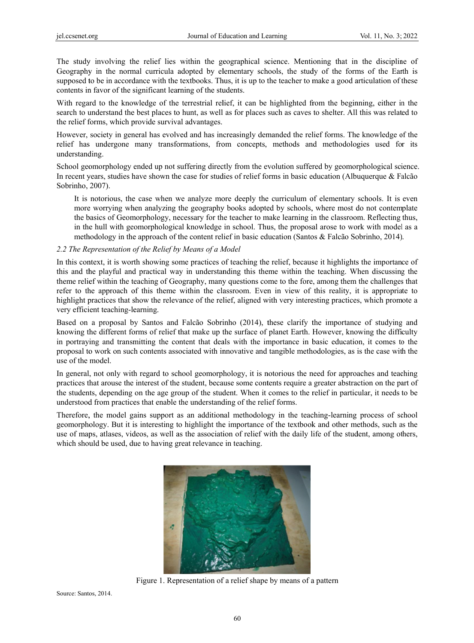The study involving the relief lies within the geographical science. Mentioning that in the discipline of Geography in the normal curricula adopted by elementary schools, the study of the forms of the Earth is supposed to be in accordance with the textbooks. Thus, it is up to the teacher to make a good articulation of these contents in favor of the significant learning of the students.

With regard to the knowledge of the terrestrial relief, it can be highlighted from the beginning, either in the search to understand the best places to hunt, as well as for places such as caves to shelter. All this was related to the relief forms, which provide survival advantages.

However, society in general has evolved and has increasingly demanded the relief forms. The knowledge of the relief has undergone many transformations, from concepts, methods and methodologies used for its understand ding.

School geomorphology ended up not suffering directly from the evolution suffered by geomorphological science. In recent years, studies have shown the case for studies of relief forms in basic education (Albuquerque  $\&$  Falcão Sobrinho, 2007).

It is notorious, the case when we analyze more deeply the curriculum of elementary schools. It is even more worrying when analyzing the geography books adopted by schools, where most do not contemplate the basics of Geomorphology, necessary for the teacher to make learning in the classroom. Reflecting thus, in the hull with geomorphological knowledge in school. Thus, the proposal arose to work with model as a methodology in the approach of the content relief in basic education (Santos & Falcão Sobrinho, 2014).

## 2.2 The Representation of the Relief by Means of a Model

In this context, it is worth showing some practices of teaching the relief, because it highlights the importance of this and the playful and practical way in understanding this theme within the teaching. When discussing the theme relief within the teaching of Geography, many questions come to the fore, among them the challenges that refer to the approach of this theme within the classroom. Even in view of this reality, it is appropriate to highlight practices that show the relevance of the relief, aligned with very interesting practices, which promote a very efficient teaching-learning.

Based on a proposal by Santos and Falcão Sobrinho (2014), these clarify the importance of studying and knowing the different forms of relief that make up the surface of planet Earth. However, knowing the difficulty in portraying and transmitting the content that deals with the importance in basic education, it comes to the proposal to work on such contents associated with innovative and tangible methodologies, as is the case with the use of the model.

In general, not only with regard to school geomorphology, it is notorious the need for approaches and teaching practices that arouse the interest of the student, because some contents require a greater abstraction on the part of the students, depending on the age group of the student. When it comes to the relief in particular, it needs to be understood from practices that enable the understanding of the relief forms.

Therefore, the model gains support as an additional methodology in the teaching-learning process of school geomorphology. But it is interesting to highlight the importance of the textbook and other methods, such as the use of maps, atlases, videos, as well as the association of relief with the daily life of the student, among others, which should be used, due to having great relevance in teaching.



Figure 1. Representation of a relief shape by means of a pattern

Source: Santos, 2014.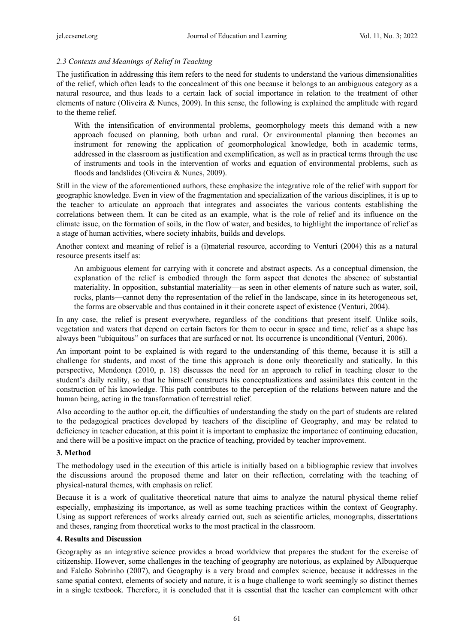## *2.3 Contexts and Meanings of Relief in Teaching*

The justification in addressing this item refers to the need for students to understand the various dimensionalities of the relief, which often leads to the concealment of this one because it belongs to an ambiguous category as a natural resource, and thus leads to a certain lack of social importance in relation to the treatment of other elements of nature (Oliveira & Nunes, 2009). In this sense, the following is explained the amplitude with regard to the theme relief.

With the intensification of environmental problems, geomorphology meets this demand with a new approach focused on planning, both urban and rural. Or environmental planning then becomes an instrument for renewing the application of geomorphological knowledge, both in academic terms, addressed in the classroom as justification and exemplification, as well as in practical terms through the use of instruments and tools in the intervention of works and equation of environmental problems, such as floods and landslides (Oliveira & Nunes, 2009).

Still in the view of the aforementioned authors, these emphasize the integrative role of the relief with support for geographic knowledge. Even in view of the fragmentation and specialization of the various disciplines, it is up to the teacher to articulate an approach that integrates and associates the various contents establishing the correlations between them. It can be cited as an example, what is the role of relief and its influence on the climate issue, on the formation of soils, in the flow of water, and besides, to highlight the importance of relief as a stage of human activities, where society inhabits, builds and develops.

Another context and meaning of relief is a (i)material resource, according to Venturi (2004) this as a natural resource presents itself as:

An ambiguous element for carrying with it concrete and abstract aspects. As a conceptual dimension, the explanation of the relief is embodied through the form aspect that denotes the absence of substantial materiality. In opposition, substantial materiality—as seen in other elements of nature such as water, soil, rocks, plants—cannot deny the representation of the relief in the landscape, since in its heterogeneous set, the forms are observable and thus contained in it their concrete aspect of existence (Venturi, 2004).

In any case, the relief is present everywhere, regardless of the conditions that present itself. Unlike soils, vegetation and waters that depend on certain factors for them to occur in space and time, relief as a shape has always been "ubiquitous" on surfaces that are surfaced or not. Its occurrence is unconditional (Venturi, 2006).

An important point to be explained is with regard to the understanding of this theme, because it is still a challenge for students, and most of the time this approach is done only theoretically and statically. In this perspective, Mendonça (2010, p. 18) discusses the need for an approach to relief in teaching closer to the student's daily reality, so that he himself constructs his conceptualizations and assimilates this content in the construction of his knowledge. This path contributes to the perception of the relations between nature and the human being, acting in the transformation of terrestrial relief.

Also according to the author op.cit, the difficulties of understanding the study on the part of students are related to the pedagogical practices developed by teachers of the discipline of Geography, and may be related to deficiency in teacher education, at this point it is important to emphasize the importance of continuing education, and there will be a positive impact on the practice of teaching, provided by teacher improvement.

## **3. Method**

The methodology used in the execution of this article is initially based on a bibliographic review that involves the discussions around the proposed theme and later on their reflection, correlating with the teaching of physical-natural themes, with emphasis on relief.

Because it is a work of qualitative theoretical nature that aims to analyze the natural physical theme relief especially, emphasizing its importance, as well as some teaching practices within the context of Geography. Using as support references of works already carried out, such as scientific articles, monographs, dissertations and theses, ranging from theoretical works to the most practical in the classroom.

## **4. Results and Discussion**

Geography as an integrative science provides a broad worldview that prepares the student for the exercise of citizenship. However, some challenges in the teaching of geography are notorious, as explained by Albuquerque and Falcão Sobrinho (2007), and Geography is a very broad and complex science, because it addresses in the same spatial context, elements of society and nature, it is a huge challenge to work seemingly so distinct themes in a single textbook. Therefore, it is concluded that it is essential that the teacher can complement with other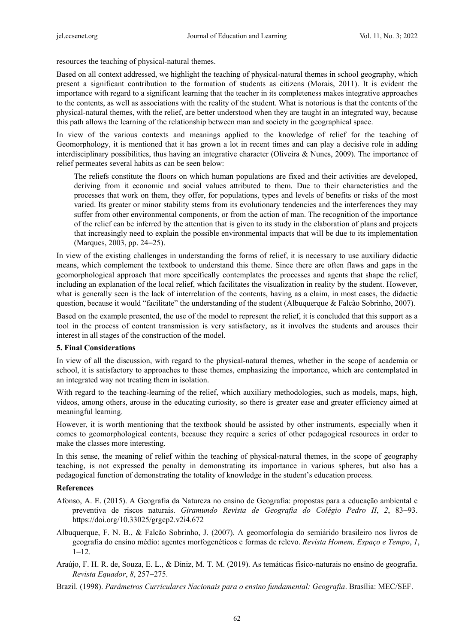resources the teaching of physical-natural themes.

Based on all context addressed, we highlight the teaching of physical-natural themes in school geography, which present a significant contribution to the formation of students as citizens (Morais, 2011). It is evident the importance with regard to a significant learning that the teacher in its completeness makes integrative approaches to the contents, as well as associations with the reality of the student. What is notorious is that the contents of the physical-natural themes, with the relief, are better understood when they are taught in an integrated way, because this path allows the learning of the relationship between man and society in the geographical space.

In view of the various contexts and meanings applied to the knowledge of relief for the teaching of Geomorphology, it is mentioned that it has grown a lot in recent times and can play a decisive role in adding interdisciplinary possibilities, thus having an integrative character (Oliveira & Nunes, 2009). The importance of relief permeates several habits as can be seen below:

The reliefs constitute the floors on which human populations are fixed and their activities are developed, deriving from it economic and social values attributed to them. Due to their characteristics and the processes that work on them, they offer, for populations, types and levels of benefits or risks of the most varied. Its greater or minor stability stems from its evolutionary tendencies and the interferences they may suffer from other environmental components, or from the action of man. The recognition of the importance of the relief can be inferred by the attention that is given to its study in the elaboration of plans and projects that increasingly need to explain the possible environmental impacts that will be due to its implementation (Marques, 2003, pp. 24−25).

In view of the existing challenges in understanding the forms of relief, it is necessary to use auxiliary didactic means, which complement the textbook to understand this theme. Since there are often flaws and gaps in the geomorphological approach that more specifically contemplates the processes and agents that shape the relief, including an explanation of the local relief, which facilitates the visualization in reality by the student. However, what is generally seen is the lack of interrelation of the contents, having as a claim, in most cases, the didactic question, because it would "facilitate" the understanding of the student (Albuquerque & Falcão Sobrinho, 2007).

Based on the example presented, the use of the model to represent the relief, it is concluded that this support as a tool in the process of content transmission is very satisfactory, as it involves the students and arouses their interest in all stages of the construction of the model.

#### **5. Final Considerations**

In view of all the discussion, with regard to the physical-natural themes, whether in the scope of academia or school, it is satisfactory to approaches to these themes, emphasizing the importance, which are contemplated in an integrated way not treating them in isolation.

With regard to the teaching-learning of the relief, which auxiliary methodologies, such as models, maps, high, videos, among others, arouse in the educating curiosity, so there is greater ease and greater efficiency aimed at meaningful learning.

However, it is worth mentioning that the textbook should be assisted by other instruments, especially when it comes to geomorphological contents, because they require a series of other pedagogical resources in order to make the classes more interesting.

In this sense, the meaning of relief within the teaching of physical-natural themes, in the scope of geography teaching, is not expressed the penalty in demonstrating its importance in various spheres, but also has a pedagogical function of demonstrating the totality of knowledge in the student's education process.

## **References**

- Afonso, A. E. (2015). A Geografia da Natureza no ensino de Geografia: propostas para a educação ambiental e preventiva de riscos naturais. *Giramundo Revista de Geografia do Colégio Pedro II*, *2*, 83−93. https://doi.org/10.33025/grgcp2.v2i4.672
- Albuquerque, F. N. B., & Falcão Sobrinho, J. (2007). A geomorfologia do semiárido brasileiro nos livros de geografia do ensino médio: agentes morfogenéticos e formas de relevo. *Revista Homem, Espaço e Tempo*, *1*, 1−12.
- Araújo, F. H. R. de, Souza, E. L., & Diniz, M. T. M. (2019). As temáticas físico-naturais no ensino de geografia. *Revista Equador*, *8*, 257−275.

Brazil. (1998). *Parâmetros Curriculares Nacionais para o ensino fundamental: Geografia*. Brasília: MEC/SEF.